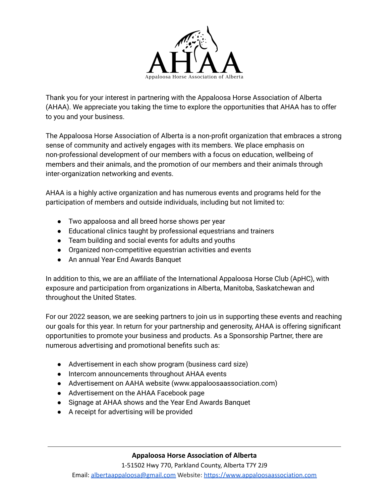

Thank you for your interest in partnering with the Appaloosa Horse Association of Alberta (AHAA). We appreciate you taking the time to explore the opportunities that AHAA has to offer to you and your business.

The Appaloosa Horse Association of Alberta is a non-profit organization that embraces a strong sense of community and actively engages with its members. We place emphasis on non-professional development of our members with a focus on education, wellbeing of members and their animals, and the promotion of our members and their animals through inter-organization networking and events.

AHAA is a highly active organization and has numerous events and programs held for the participation of members and outside individuals, including but not limited to:

- Two appaloosa and all breed horse shows per year
- Educational clinics taught by professional equestrians and trainers
- Team building and social events for adults and youths
- Organized non-competitive equestrian activities and events
- An annual Year End Awards Banquet

In addition to this, we are an affiliate of the International Appaloosa Horse Club (ApHC), with exposure and participation from organizations in Alberta, Manitoba, Saskatchewan and throughout the United States.

For our 2022 season, we are seeking partners to join us in supporting these events and reaching our goals for this year. In return for your partnership and generosity, AHAA is offering significant opportunities to promote your business and products. As a Sponsorship Partner, there are numerous advertising and promotional benefits such as:

- Advertisement in each show program (business card size)
- Intercom announcements throughout AHAA events
- Advertisement on AAHA website (www.appaloosaassociation.com)
- Advertisement on the AHAA Facebook page
- Signage at AHAA shows and the Year End Awards Banquet
- A receipt for advertising will be provided